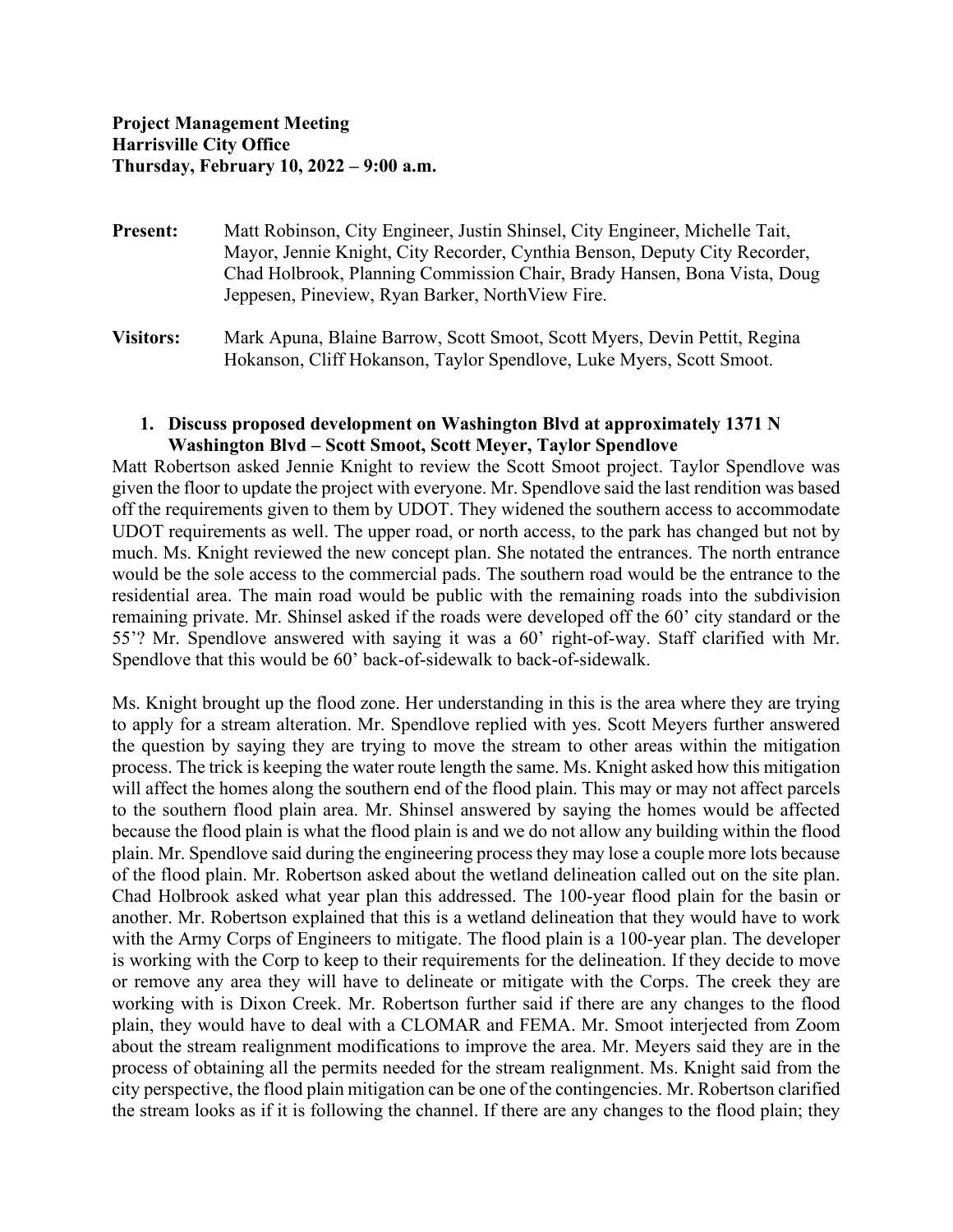- **Present:** Matt Robinson, City Engineer, Justin Shinsel, City Engineer, Michelle Tait, Mayor, Jennie Knight, City Recorder, Cynthia Benson, Deputy City Recorder, Chad Holbrook, Planning Commission Chair, Brady Hansen, Bona Vista, Doug Jeppesen, Pineview, Ryan Barker, NorthView Fire.
- **Visitors:** Mark Apuna, Blaine Barrow, Scott Smoot, Scott Myers, Devin Pettit, Regina Hokanson, Cliff Hokanson, Taylor Spendlove, Luke Myers, Scott Smoot.

## **1. Discuss proposed development on Washington Blvd at approximately 1371 N Washington Blvd – Scott Smoot, Scott Meyer, Taylor Spendlove**

Matt Robertson asked Jennie Knight to review the Scott Smoot project. Taylor Spendlove was given the floor to update the project with everyone. Mr. Spendlove said the last rendition was based off the requirements given to them by UDOT. They widened the southern access to accommodate UDOT requirements as well. The upper road, or north access, to the park has changed but not by much. Ms. Knight reviewed the new concept plan. She notated the entrances. The north entrance would be the sole access to the commercial pads. The southern road would be the entrance to the residential area. The main road would be public with the remaining roads into the subdivision remaining private. Mr. Shinsel asked if the roads were developed off the 60' city standard or the 55'? Mr. Spendlove answered with saying it was a 60' right-of-way. Staff clarified with Mr. Spendlove that this would be 60' back-of-sidewalk to back-of-sidewalk.

Ms. Knight brought up the flood zone. Her understanding in this is the area where they are trying to apply for a stream alteration. Mr. Spendlove replied with yes. Scott Meyers further answered the question by saying they are trying to move the stream to other areas within the mitigation process. The trick is keeping the water route length the same. Ms. Knight asked how this mitigation will affect the homes along the southern end of the flood plain. This may or may not affect parcels to the southern flood plain area. Mr. Shinsel answered by saying the homes would be affected because the flood plain is what the flood plain is and we do not allow any building within the flood plain. Mr. Spendlove said during the engineering process they may lose a couple more lots because of the flood plain. Mr. Robertson asked about the wetland delineation called out on the site plan. Chad Holbrook asked what year plan this addressed. The 100-year flood plain for the basin or another. Mr. Robertson explained that this is a wetland delineation that they would have to work with the Army Corps of Engineers to mitigate. The flood plain is a 100-year plan. The developer is working with the Corp to keep to their requirements for the delineation. If they decide to move or remove any area they will have to delineate or mitigate with the Corps. The creek they are working with is Dixon Creek. Mr. Robertson further said if there are any changes to the flood plain, they would have to deal with a CLOMAR and FEMA. Mr. Smoot interjected from Zoom about the stream realignment modifications to improve the area. Mr. Meyers said they are in the process of obtaining all the permits needed for the stream realignment. Ms. Knight said from the city perspective, the flood plain mitigation can be one of the contingencies. Mr. Robertson clarified the stream looks as if it is following the channel. If there are any changes to the flood plain; they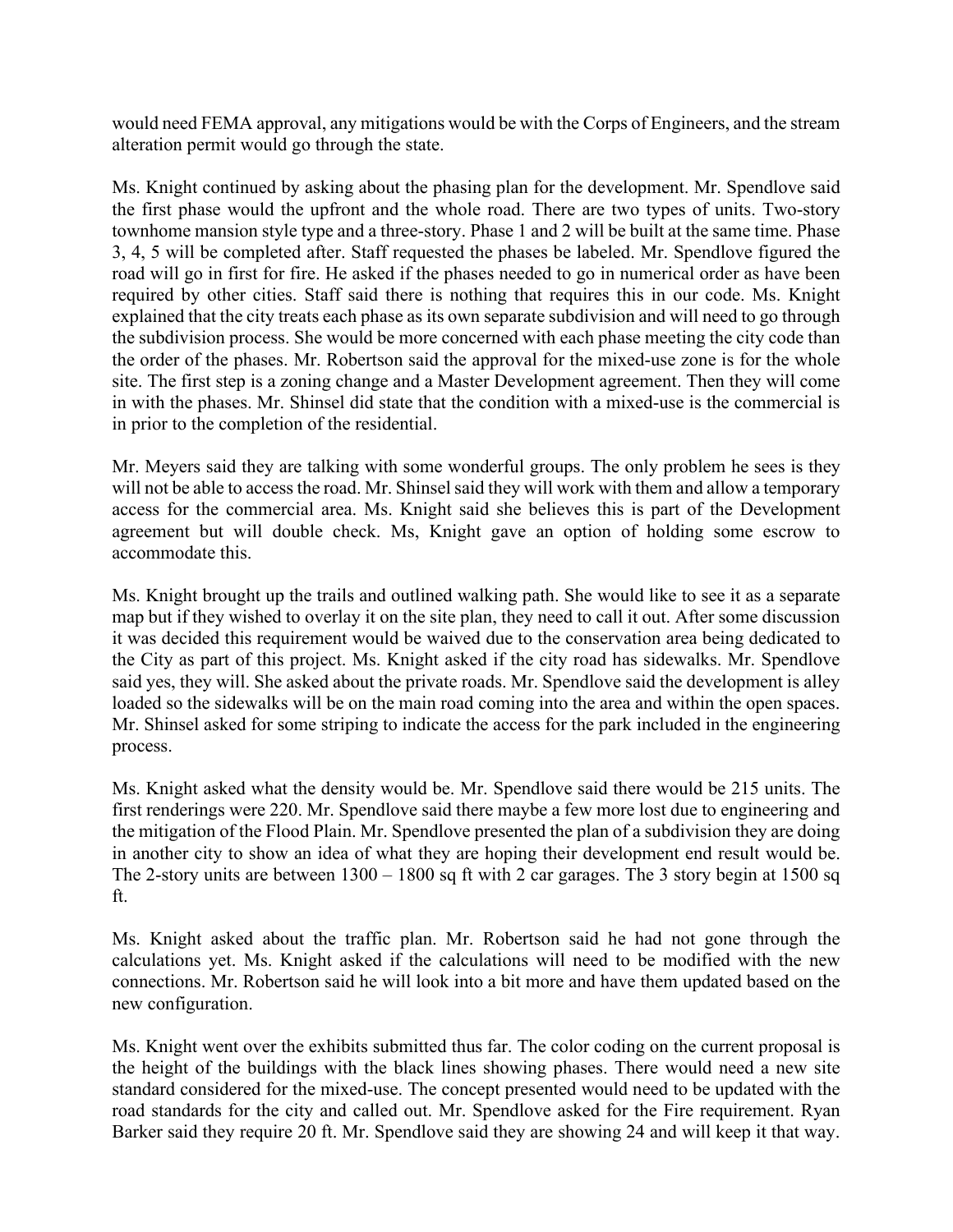would need FEMA approval, any mitigations would be with the Corps of Engineers, and the stream alteration permit would go through the state.

Ms. Knight continued by asking about the phasing plan for the development. Mr. Spendlove said the first phase would the upfront and the whole road. There are two types of units. Two-story townhome mansion style type and a three-story. Phase 1 and 2 will be built at the same time. Phase 3, 4, 5 will be completed after. Staff requested the phases be labeled. Mr. Spendlove figured the road will go in first for fire. He asked if the phases needed to go in numerical order as have been required by other cities. Staff said there is nothing that requires this in our code. Ms. Knight explained that the city treats each phase as its own separate subdivision and will need to go through the subdivision process. She would be more concerned with each phase meeting the city code than the order of the phases. Mr. Robertson said the approval for the mixed-use zone is for the whole site. The first step is a zoning change and a Master Development agreement. Then they will come in with the phases. Mr. Shinsel did state that the condition with a mixed-use is the commercial is in prior to the completion of the residential.

Mr. Meyers said they are talking with some wonderful groups. The only problem he sees is they will not be able to access the road. Mr. Shinsel said they will work with them and allow a temporary access for the commercial area. Ms. Knight said she believes this is part of the Development agreement but will double check. Ms, Knight gave an option of holding some escrow to accommodate this.

Ms. Knight brought up the trails and outlined walking path. She would like to see it as a separate map but if they wished to overlay it on the site plan, they need to call it out. After some discussion it was decided this requirement would be waived due to the conservation area being dedicated to the City as part of this project. Ms. Knight asked if the city road has sidewalks. Mr. Spendlove said yes, they will. She asked about the private roads. Mr. Spendlove said the development is alley loaded so the sidewalks will be on the main road coming into the area and within the open spaces. Mr. Shinsel asked for some striping to indicate the access for the park included in the engineering process.

Ms. Knight asked what the density would be. Mr. Spendlove said there would be 215 units. The first renderings were 220. Mr. Spendlove said there maybe a few more lost due to engineering and the mitigation of the Flood Plain. Mr. Spendlove presented the plan of a subdivision they are doing in another city to show an idea of what they are hoping their development end result would be. The 2-story units are between 1300 – 1800 sq ft with 2 car garages. The 3 story begin at 1500 sq ft.

Ms. Knight asked about the traffic plan. Mr. Robertson said he had not gone through the calculations yet. Ms. Knight asked if the calculations will need to be modified with the new connections. Mr. Robertson said he will look into a bit more and have them updated based on the new configuration.

Ms. Knight went over the exhibits submitted thus far. The color coding on the current proposal is the height of the buildings with the black lines showing phases. There would need a new site standard considered for the mixed-use. The concept presented would need to be updated with the road standards for the city and called out. Mr. Spendlove asked for the Fire requirement. Ryan Barker said they require 20 ft. Mr. Spendlove said they are showing 24 and will keep it that way.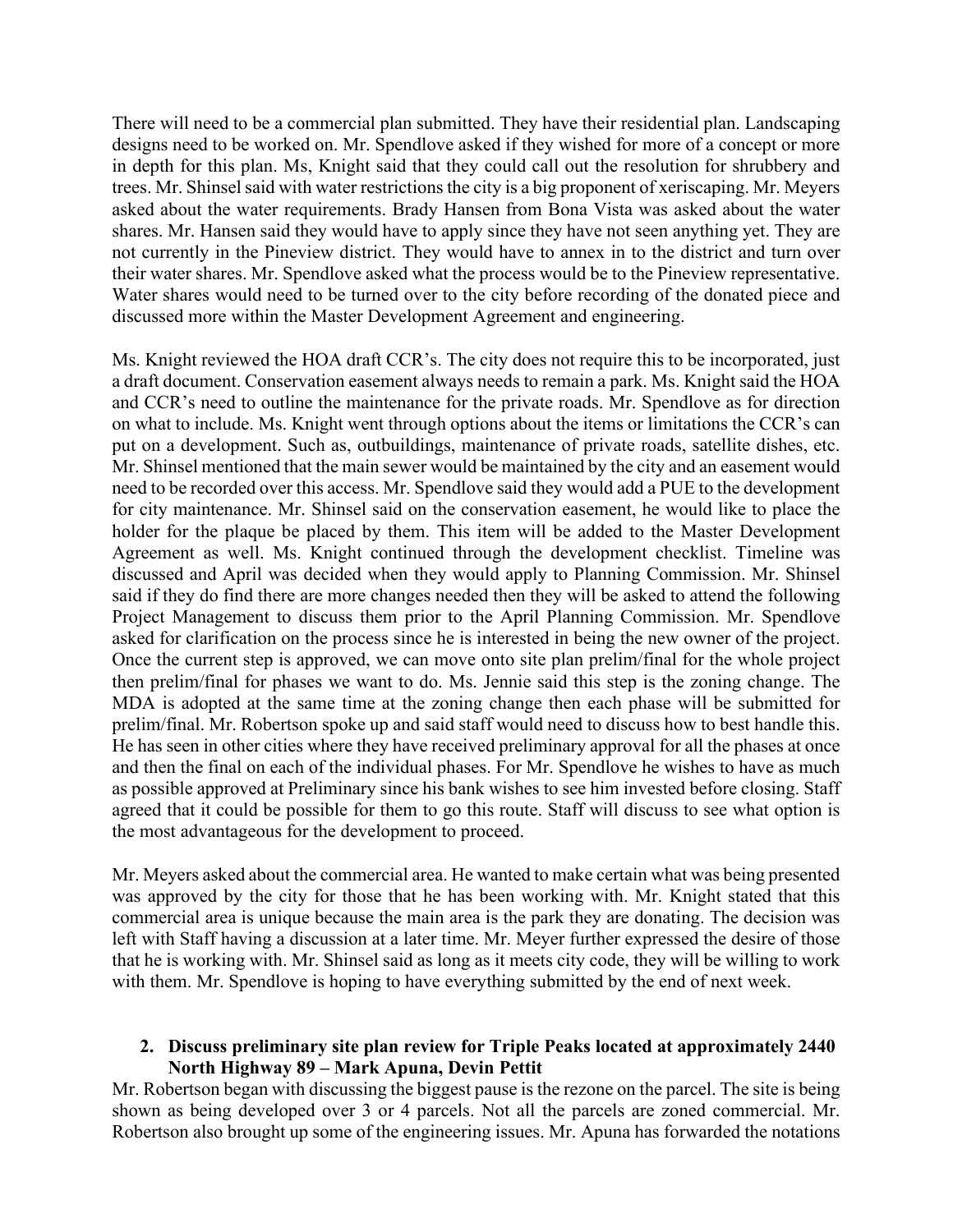There will need to be a commercial plan submitted. They have their residential plan. Landscaping designs need to be worked on. Mr. Spendlove asked if they wished for more of a concept or more in depth for this plan. Ms, Knight said that they could call out the resolution for shrubbery and trees. Mr. Shinsel said with water restrictions the city is a big proponent of xeriscaping. Mr. Meyers asked about the water requirements. Brady Hansen from Bona Vista was asked about the water shares. Mr. Hansen said they would have to apply since they have not seen anything yet. They are not currently in the Pineview district. They would have to annex in to the district and turn over their water shares. Mr. Spendlove asked what the process would be to the Pineview representative. Water shares would need to be turned over to the city before recording of the donated piece and discussed more within the Master Development Agreement and engineering.

Ms. Knight reviewed the HOA draft CCR's. The city does not require this to be incorporated, just a draft document. Conservation easement always needs to remain a park. Ms. Knight said the HOA and CCR's need to outline the maintenance for the private roads. Mr. Spendlove as for direction on what to include. Ms. Knight went through options about the items or limitations the CCR's can put on a development. Such as, outbuildings, maintenance of private roads, satellite dishes, etc. Mr. Shinsel mentioned that the main sewer would be maintained by the city and an easement would need to be recorded over this access. Mr. Spendlove said they would add a PUE to the development for city maintenance. Mr. Shinsel said on the conservation easement, he would like to place the holder for the plaque be placed by them. This item will be added to the Master Development Agreement as well. Ms. Knight continued through the development checklist. Timeline was discussed and April was decided when they would apply to Planning Commission. Mr. Shinsel said if they do find there are more changes needed then they will be asked to attend the following Project Management to discuss them prior to the April Planning Commission. Mr. Spendlove asked for clarification on the process since he is interested in being the new owner of the project. Once the current step is approved, we can move onto site plan prelim/final for the whole project then prelim/final for phases we want to do. Ms. Jennie said this step is the zoning change. The MDA is adopted at the same time at the zoning change then each phase will be submitted for prelim/final. Mr. Robertson spoke up and said staff would need to discuss how to best handle this. He has seen in other cities where they have received preliminary approval for all the phases at once and then the final on each of the individual phases. For Mr. Spendlove he wishes to have as much as possible approved at Preliminary since his bank wishes to see him invested before closing. Staff agreed that it could be possible for them to go this route. Staff will discuss to see what option is the most advantageous for the development to proceed.

Mr. Meyers asked about the commercial area. He wanted to make certain what was being presented was approved by the city for those that he has been working with. Mr. Knight stated that this commercial area is unique because the main area is the park they are donating. The decision was left with Staff having a discussion at a later time. Mr. Meyer further expressed the desire of those that he is working with. Mr. Shinsel said as long as it meets city code, they will be willing to work with them. Mr. Spendlove is hoping to have everything submitted by the end of next week.

## **2. Discuss preliminary site plan review for Triple Peaks located at approximately 2440 North Highway 89 – Mark Apuna, Devin Pettit**

Mr. Robertson began with discussing the biggest pause is the rezone on the parcel. The site is being shown as being developed over 3 or 4 parcels. Not all the parcels are zoned commercial. Mr. Robertson also brought up some of the engineering issues. Mr. Apuna has forwarded the notations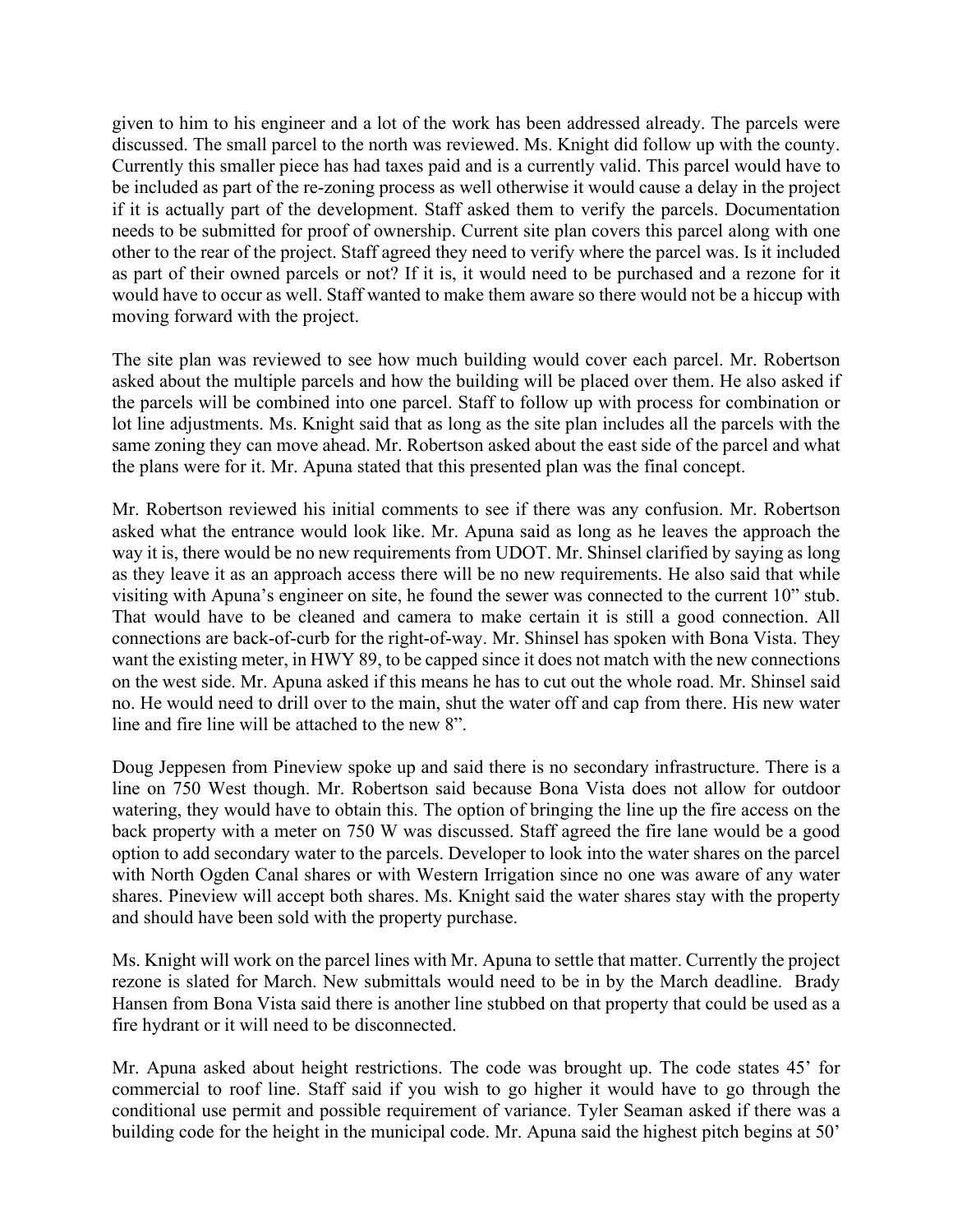given to him to his engineer and a lot of the work has been addressed already. The parcels were discussed. The small parcel to the north was reviewed. Ms. Knight did follow up with the county. Currently this smaller piece has had taxes paid and is a currently valid. This parcel would have to be included as part of the re-zoning process as well otherwise it would cause a delay in the project if it is actually part of the development. Staff asked them to verify the parcels. Documentation needs to be submitted for proof of ownership. Current site plan covers this parcel along with one other to the rear of the project. Staff agreed they need to verify where the parcel was. Is it included as part of their owned parcels or not? If it is, it would need to be purchased and a rezone for it would have to occur as well. Staff wanted to make them aware so there would not be a hiccup with moving forward with the project.

The site plan was reviewed to see how much building would cover each parcel. Mr. Robertson asked about the multiple parcels and how the building will be placed over them. He also asked if the parcels will be combined into one parcel. Staff to follow up with process for combination or lot line adjustments. Ms. Knight said that as long as the site plan includes all the parcels with the same zoning they can move ahead. Mr. Robertson asked about the east side of the parcel and what the plans were for it. Mr. Apuna stated that this presented plan was the final concept.

Mr. Robertson reviewed his initial comments to see if there was any confusion. Mr. Robertson asked what the entrance would look like. Mr. Apuna said as long as he leaves the approach the way it is, there would be no new requirements from UDOT. Mr. Shinsel clarified by saying as long as they leave it as an approach access there will be no new requirements. He also said that while visiting with Apuna's engineer on site, he found the sewer was connected to the current 10" stub. That would have to be cleaned and camera to make certain it is still a good connection. All connections are back-of-curb for the right-of-way. Mr. Shinsel has spoken with Bona Vista. They want the existing meter, in HWY 89, to be capped since it does not match with the new connections on the west side. Mr. Apuna asked if this means he has to cut out the whole road. Mr. Shinsel said no. He would need to drill over to the main, shut the water off and cap from there. His new water line and fire line will be attached to the new 8".

Doug Jeppesen from Pineview spoke up and said there is no secondary infrastructure. There is a line on 750 West though. Mr. Robertson said because Bona Vista does not allow for outdoor watering, they would have to obtain this. The option of bringing the line up the fire access on the back property with a meter on 750 W was discussed. Staff agreed the fire lane would be a good option to add secondary water to the parcels. Developer to look into the water shares on the parcel with North Ogden Canal shares or with Western Irrigation since no one was aware of any water shares. Pineview will accept both shares. Ms. Knight said the water shares stay with the property and should have been sold with the property purchase.

Ms. Knight will work on the parcel lines with Mr. Apuna to settle that matter. Currently the project rezone is slated for March. New submittals would need to be in by the March deadline. Brady Hansen from Bona Vista said there is another line stubbed on that property that could be used as a fire hydrant or it will need to be disconnected.

Mr. Apuna asked about height restrictions. The code was brought up. The code states 45' for commercial to roof line. Staff said if you wish to go higher it would have to go through the conditional use permit and possible requirement of variance. Tyler Seaman asked if there was a building code for the height in the municipal code. Mr. Apuna said the highest pitch begins at 50'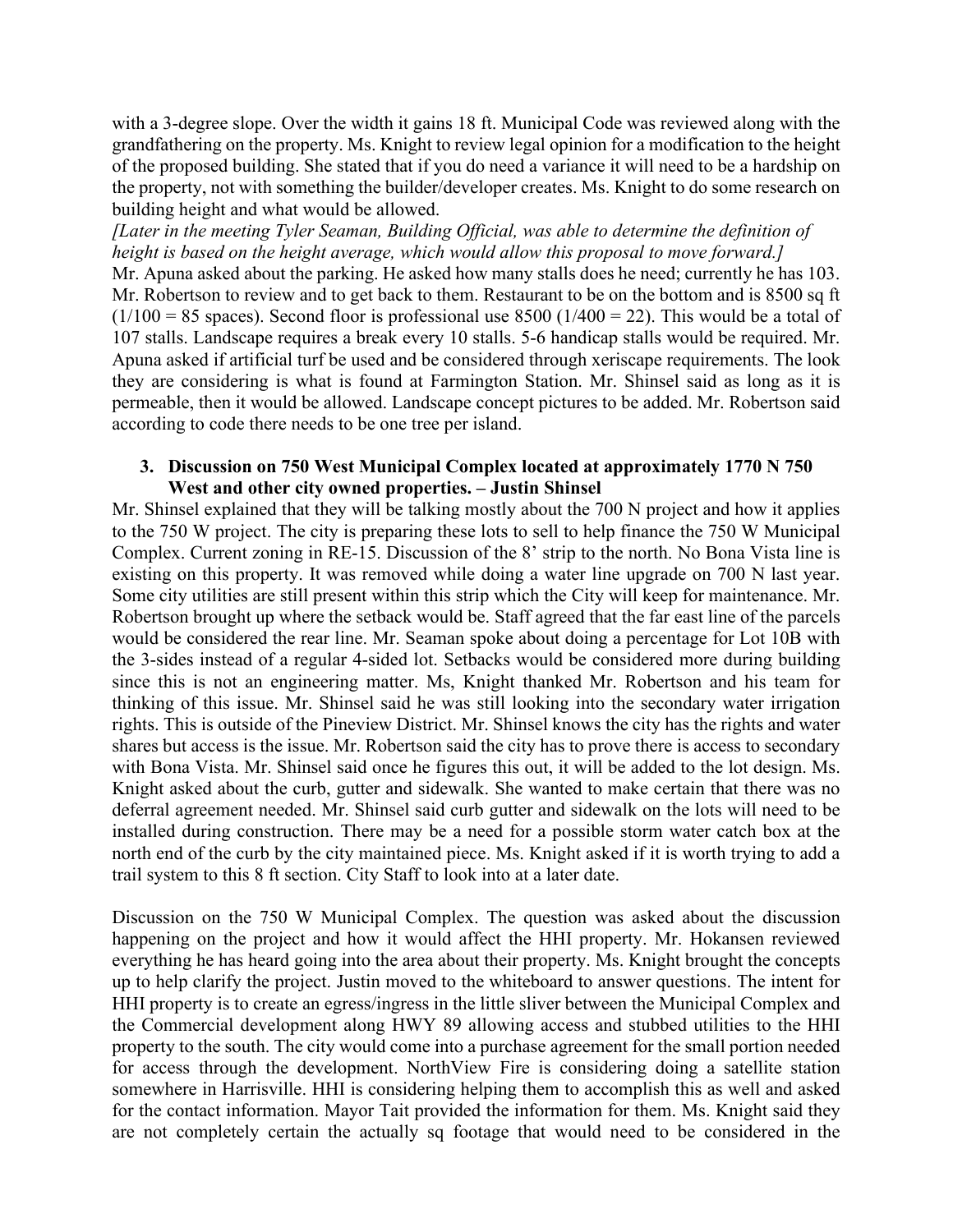with a 3-degree slope. Over the width it gains 18 ft. Municipal Code was reviewed along with the grandfathering on the property. Ms. Knight to review legal opinion for a modification to the height of the proposed building. She stated that if you do need a variance it will need to be a hardship on the property, not with something the builder/developer creates. Ms. Knight to do some research on building height and what would be allowed.

*[Later in the meeting Tyler Seaman, Building Official, was able to determine the definition of height is based on the height average, which would allow this proposal to move forward.]* Mr. Apuna asked about the parking. He asked how many stalls does he need; currently he has 103. Mr. Robertson to review and to get back to them. Restaurant to be on the bottom and is 8500 sq ft  $(1/100 = 85$  spaces). Second floor is professional use 8500 (1/400 = 22). This would be a total of 107 stalls. Landscape requires a break every 10 stalls. 5-6 handicap stalls would be required. Mr. Apuna asked if artificial turf be used and be considered through xeriscape requirements. The look they are considering is what is found at Farmington Station. Mr. Shinsel said as long as it is permeable, then it would be allowed. Landscape concept pictures to be added. Mr. Robertson said according to code there needs to be one tree per island.

## **3. Discussion on 750 West Municipal Complex located at approximately 1770 N 750 West and other city owned properties. – Justin Shinsel**

Mr. Shinsel explained that they will be talking mostly about the 700 N project and how it applies to the 750 W project. The city is preparing these lots to sell to help finance the 750 W Municipal Complex. Current zoning in RE-15. Discussion of the 8' strip to the north. No Bona Vista line is existing on this property. It was removed while doing a water line upgrade on 700 N last year. Some city utilities are still present within this strip which the City will keep for maintenance. Mr. Robertson brought up where the setback would be. Staff agreed that the far east line of the parcels would be considered the rear line. Mr. Seaman spoke about doing a percentage for Lot 10B with the 3-sides instead of a regular 4-sided lot. Setbacks would be considered more during building since this is not an engineering matter. Ms, Knight thanked Mr. Robertson and his team for thinking of this issue. Mr. Shinsel said he was still looking into the secondary water irrigation rights. This is outside of the Pineview District. Mr. Shinsel knows the city has the rights and water shares but access is the issue. Mr. Robertson said the city has to prove there is access to secondary with Bona Vista. Mr. Shinsel said once he figures this out, it will be added to the lot design. Ms. Knight asked about the curb, gutter and sidewalk. She wanted to make certain that there was no deferral agreement needed. Mr. Shinsel said curb gutter and sidewalk on the lots will need to be installed during construction. There may be a need for a possible storm water catch box at the north end of the curb by the city maintained piece. Ms. Knight asked if it is worth trying to add a trail system to this 8 ft section. City Staff to look into at a later date.

Discussion on the 750 W Municipal Complex. The question was asked about the discussion happening on the project and how it would affect the HHI property. Mr. Hokansen reviewed everything he has heard going into the area about their property. Ms. Knight brought the concepts up to help clarify the project. Justin moved to the whiteboard to answer questions. The intent for HHI property is to create an egress/ingress in the little sliver between the Municipal Complex and the Commercial development along HWY 89 allowing access and stubbed utilities to the HHI property to the south. The city would come into a purchase agreement for the small portion needed for access through the development. NorthView Fire is considering doing a satellite station somewhere in Harrisville. HHI is considering helping them to accomplish this as well and asked for the contact information. Mayor Tait provided the information for them. Ms. Knight said they are not completely certain the actually sq footage that would need to be considered in the